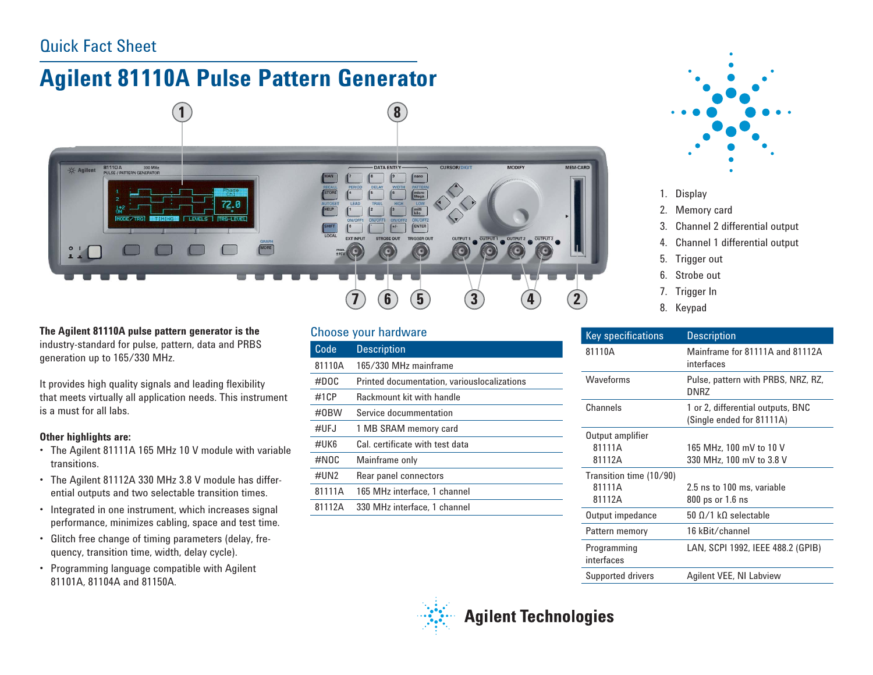## Quick Fact Sheet

# **Agilent 81110A Pulse Pattern Generator**



**The Agilent 81110A pulse pattern generator is the** industry-standard for pulse, pattern, data and PRBS generation up to 165/330 MHz.

It provides high quality signals and leading flexibility that meets virtually all application needs. This instrument is a must for all labs.

#### **Other highlights are:**

- The Agilent 81111A 165 MHz 10 V module with variable transitions.
- The Agilent 81112A 330 MHz 3.8 V module has differential outputs and two selectable transition times.
- Integrated in one instrument, which increases signal performance, minimizes cabling, space and test time.
- Glitch free change of timing parameters (delay, frequency, transition time, width, delay cycle).
- Programming language compatible with Agilent 81101A, 81104A and 81150A.

#### Choose your hardware

| $\overline{\text{Code}}$ | <b>Description</b>                          |
|--------------------------|---------------------------------------------|
| 81110A                   | 165/330 MHz mainframe                       |
| #DOC                     | Printed documentation, variouslocalizations |
| #1CP                     | Rackmount kit with handle                   |
| #0BW                     | Service docummentation                      |
| #UFJ                     | 1 MB SRAM memory card                       |
| #UK6                     | Cal. certificate with test data             |
| #NOC                     | Mainframe only                              |
| #UN2                     | Rear panel connectors                       |
| 81111A                   | 165 MHz interface, 1 channel                |
| 81112A                   | 330 MHz interface, 1 channel                |
|                          |                                             |



- 1. Display
- 2. Memory card
- 3. Channel 2 differential output
- 4. Channel 1 differential output
- 5. Trigger out
- 6. Strobe out
- 7. Trigger In
- 8. Keypad

| <b>Key specifications</b> | <b>Description</b>                                             |
|---------------------------|----------------------------------------------------------------|
| 81110A                    | Mainframe for 81111A and 81112A<br>interfaces                  |
| Waveforms                 | Pulse, pattern with PRBS, NRZ, RZ,<br>DNR7                     |
| Channels                  | 1 or 2, differential outputs, BNC<br>(Single ended for 81111A) |
| Output amplifier          |                                                                |
| 81111A                    | 165 MHz, 100 mV to 10 V                                        |
| 81112A                    | 330 MHz, 100 mV to 3.8 V                                       |
| Transition time (10/90)   |                                                                |
| 81111A                    | 2.5 ns to 100 ms, variable                                     |
| 81112A                    | 800 ps or 1.6 ns                                               |
| Output impedance          | $50 \Omega/1 \kappa$ selectable                                |
| Pattern memory            | 16 kBit/channel                                                |
| Programming<br>interfaces | LAN, SCPI 1992, IEEE 488.2 (GPIB)                              |
| <b>Supported drivers</b>  | <b>Agilent VEE, NI Labview</b>                                 |